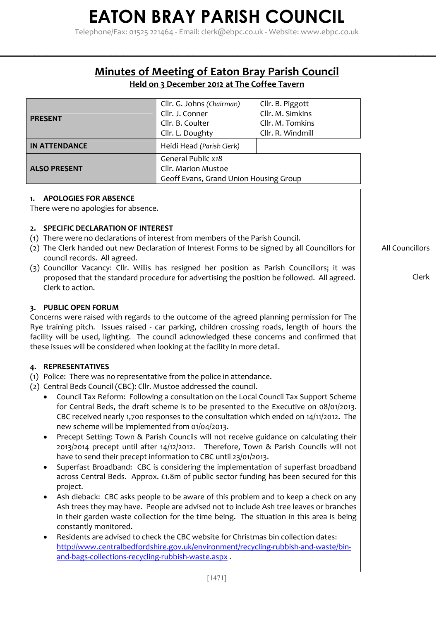Telephone/Fax: 01525 221464 - Email: clerk@ebpc.co.uk - Website: www.ebpc.co.uk

### **Minutes of Meeting of Eaton Bray Parish Council**

**\_\_\_\_\_\_\_\_\_\_\_\_\_\_\_\_\_\_\_\_\_\_\_\_\_\_\_\_\_\_\_\_\_\_\_\_\_\_\_\_\_\_\_\_\_\_\_\_\_\_\_\_\_\_\_\_\_\_\_\_\_\_\_\_\_\_\_\_\_\_\_\_\_\_\_\_\_\_\_\_\_\_\_\_\_\_\_\_\_\_\_\_\_\_\_\_\_\_\_\_\_\_\_\_\_\_\_\_**

### **Held on 3 December 2012 at The Coffee Tavern**

| <b>PRESENT</b>                                                                                                                                                                                                                                                                                                                                                                                                                                                                                         | Cllr. G. Johns (Chairman)<br>Cllr. J. Conner<br>Cllr. B. Coulter<br>Cllr. L. Doughty | Cllr. B. Piggott<br>Cllr. M. Simkins<br>Cllr. M. Tomkins<br>Cllr. R. Windmill                                                                                                                                                                                                                                                                                                                                                                                                                                                                                                                                                                                                                                                                                                                                                                                                                                                                                                                              |                          |
|--------------------------------------------------------------------------------------------------------------------------------------------------------------------------------------------------------------------------------------------------------------------------------------------------------------------------------------------------------------------------------------------------------------------------------------------------------------------------------------------------------|--------------------------------------------------------------------------------------|------------------------------------------------------------------------------------------------------------------------------------------------------------------------------------------------------------------------------------------------------------------------------------------------------------------------------------------------------------------------------------------------------------------------------------------------------------------------------------------------------------------------------------------------------------------------------------------------------------------------------------------------------------------------------------------------------------------------------------------------------------------------------------------------------------------------------------------------------------------------------------------------------------------------------------------------------------------------------------------------------------|--------------------------|
| <b>IN ATTENDANCE</b>                                                                                                                                                                                                                                                                                                                                                                                                                                                                                   | Heidi Head (Parish Clerk)                                                            |                                                                                                                                                                                                                                                                                                                                                                                                                                                                                                                                                                                                                                                                                                                                                                                                                                                                                                                                                                                                            |                          |
| <b>ALSO PRESENT</b>                                                                                                                                                                                                                                                                                                                                                                                                                                                                                    | General Public x18<br>Cllr. Marion Mustoe<br>Geoff Evans, Grand Union Housing Group  |                                                                                                                                                                                                                                                                                                                                                                                                                                                                                                                                                                                                                                                                                                                                                                                                                                                                                                                                                                                                            |                          |
| <b>APOLOGIES FOR ABSENCE</b><br>1.<br>There were no apologies for absence.                                                                                                                                                                                                                                                                                                                                                                                                                             |                                                                                      |                                                                                                                                                                                                                                                                                                                                                                                                                                                                                                                                                                                                                                                                                                                                                                                                                                                                                                                                                                                                            |                          |
| <b>SPECIFIC DECLARATION OF INTEREST</b><br>2.<br>(1) There were no declarations of interest from members of the Parish Council.<br>(2) The Clerk handed out new Declaration of Interest Forms to be signed by all Councillors for<br>council records. All agreed.<br>(3) Councillor Vacancy: Cllr. Willis has resigned her position as Parish Councillors; it was<br>proposed that the standard procedure for advertising the position be followed. All agreed.<br>Clerk to action.                    |                                                                                      |                                                                                                                                                                                                                                                                                                                                                                                                                                                                                                                                                                                                                                                                                                                                                                                                                                                                                                                                                                                                            | All Councillors<br>Clerk |
| 3. PUBLIC OPEN FORUM<br>Concerns were raised with regards to the outcome of the agreed planning permission for The<br>Rye training pitch. Issues raised - car parking, children crossing roads, length of hours the<br>facility will be used, lighting. The council acknowledged these concerns and confirmed that<br>these issues will be considered when looking at the facility in more detail.                                                                                                     |                                                                                      |                                                                                                                                                                                                                                                                                                                                                                                                                                                                                                                                                                                                                                                                                                                                                                                                                                                                                                                                                                                                            |                          |
| <b>REPRESENTATIVES</b><br>4.<br>(1) Police: There was no representative from the police in attendance.<br>(2) Central Beds Council (CBC): Cllr. Mustoe addressed the council.<br>٠<br>new scheme will be implemented from 01/04/2013.<br>have to send their precept information to CBC until 23/01/2013.<br>$\bullet$<br>project.<br>constantly monitored.<br>Residents are advised to check the CBC website for Christmas bin collection dates:<br>and-bags-collections-recycling-rubbish-waste.aspx. |                                                                                      | Council Tax Reform: Following a consultation on the Local Council Tax Support Scheme<br>for Central Beds, the draft scheme is to be presented to the Executive on 08/01/2013.<br>CBC received nearly 1,700 responses to the consultation which ended on 14/11/2012. The<br>Precept Setting: Town & Parish Councils will not receive guidance on calculating their<br>2013/2014 precept until after 14/12/2012. Therefore, Town & Parish Councils will not<br>Superfast Broadband: CBC is considering the implementation of superfast broadband<br>across Central Beds. Approx. £1.8m of public sector funding has been secured for this<br>Ash dieback: CBC asks people to be aware of this problem and to keep a check on any<br>Ash trees they may have. People are advised not to include Ash tree leaves or branches<br>in their garden waste collection for the time being. The situation in this area is being<br>http://www.centralbedfordshire.gov.uk/environment/recycling-rubbish-and-waste/bin- |                          |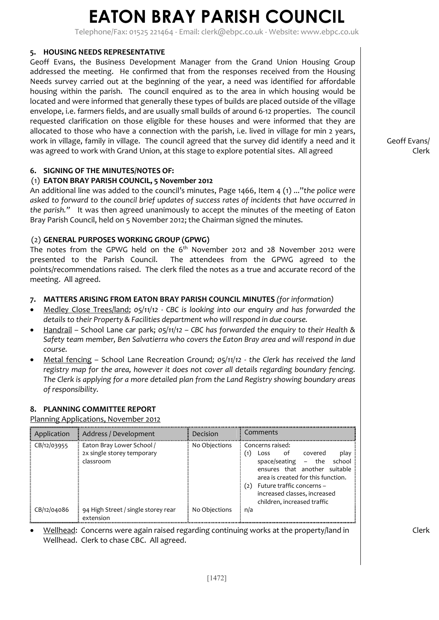Telephone/Fax: 01525 221464 - Email: clerk@ebpc.co.uk - Website: www.ebpc.co.uk

### **5. HOUSING NEEDS REPRESENTATIVE**

Geoff Evans, the Business Development Manager from the Grand Union Housing Group addressed the meeting. He confirmed that from the responses received from the Housing Needs survey carried out at the beginning of the year, a need was identified for affordable housing within the parish. The council enquired as to the area in which housing would be located and were informed that generally these types of builds are placed outside of the village envelope, i.e. farmers fields, and are usually small builds of around 6-12 properties. The council requested clarification on those eligible for these houses and were informed that they are allocated to those who have a connection with the parish, i.e. lived in village for min 2 years, work in village, family in village. The council agreed that the survey did identify a need and it was agreed to work with Grand Union, at this stage to explore potential sites. All agreed

### **6. SIGNING OF THE MINUTES/NOTES OF:**

### (1) **EATON BRAY PARISH COUNCIL, 5 November 2012**

An additional line was added to the council's minutes, Page 1466, Item 4 (1) ..."*the police were asked to forward to the council brief updates of success rates of incidents that have occurred in the parish."* It was then agreed unanimously to accept the minutes of the meeting of Eaton Bray Parish Council, held on 5 November 2012; the Chairman signed the minutes.

### (2) **GENERAL PURPOSES WORKING GROUP (GPWG)**

The notes from the GPWG held on the 6<sup>th</sup> November 2012 and 28 November 2012 were presented to the Parish Council. The attendees from the GPWG agreed to the points/recommendations raised. The clerk filed the notes as a true and accurate record of the meeting. All agreed.

### **7. MATTERS ARISING FROM EATON BRAY PARISH COUNCIL MINUTES** *(for information)*

- Medley Close Trees/land; *05/11/12 CBC is looking into our enquiry and has forwarded the details to their Property & Facilities department who will respond in due course.*
- Handrail School Lane car park; *05/11/12 CBC has forwarded the enquiry to their Health & Safety team member, Ben Salvatierra who covers the Eaton Bray area and will respond in due course.*
- Metal fencing School Lane Recreation Ground*; 05/11/12 the Clerk has received the land registry map for the area, however it does not cover all details regarding boundary fencing. The Clerk is applying for a more detailed plan from the Land Registry showing boundary areas of responsibility.*

#### **8. PLANNING COMMITTEE REPORT**

Planning Applications, November 2012

| Application     | Address / Development                                                | Decision      | Comments                                                                                                                                                                                                                                                                             |
|-----------------|----------------------------------------------------------------------|---------------|--------------------------------------------------------------------------------------------------------------------------------------------------------------------------------------------------------------------------------------------------------------------------------------|
| $E$ CB/12/03955 | Eaton Bray Lower School /<br>2x single storey temporary<br>classroom | No Objections | Concerns raised:<br>play<br>$\left( 1\right)$<br>covered<br>.ot<br>Loss<br>school<br>space/seating $-$ the<br>ensures that another suitable<br>area is created for this function.<br>Future traffic concerns -<br>(2)<br>increased classes, increased<br>children, increased traffic |
| CB/12/04086     | 94 High Street / single storey rear<br>extension                     | No Objections | n/a                                                                                                                                                                                                                                                                                  |

• Wellhead: Concerns were again raised regarding continuing works at the property/land in Wellhead. Clerk to chase CBC. All agreed.

Geoff Evans/ Clerk

Clerk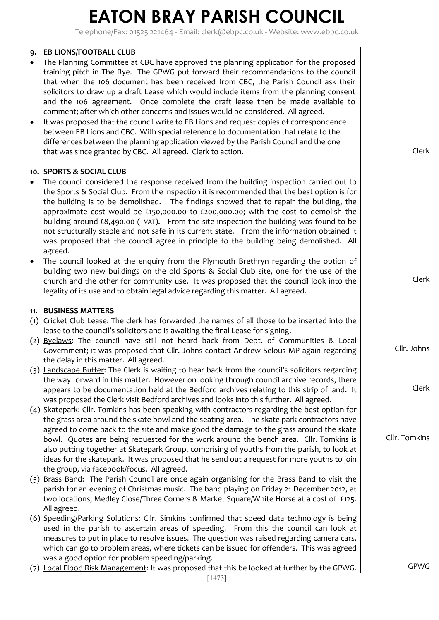Telephone/Fax: 01525 221464 - Email: clerk@ebpc.co.uk - Website: www.ebpc.co.uk

### **9. EB LIONS/FOOTBALL CLUB**

- The Planning Committee at CBC have approved the planning application for the proposed training pitch in The Rye. The GPWG put forward their recommendations to the council that when the 106 document has been received from CBC, the Parish Council ask their solicitors to draw up a draft Lease which would include items from the planning consent and the 106 agreement. Once complete the draft lease then be made available to comment; after which other concerns and issues would be considered. All agreed.
- It was proposed that the council write to EB Lions and request copies of correspondence between EB Lions and CBC. With special reference to documentation that relate to the differences between the planning application viewed by the Parish Council and the one that was since granted by CBC. All agreed. Clerk to action.

#### **10. SPORTS & SOCIAL CLUB**

- The council considered the response received from the building inspection carried out to the Sports & Social Club. From the inspection it is recommended that the best option is for the building is to be demolished. The findings showed that to repair the building, the approximate cost would be £150,000.00 to £200,000.00; with the cost to demolish the building around  $\text{\pounds}8,490.00$  (+VAT). From the site inspection the building was found to be not structurally stable and not safe in its current state. From the information obtained it was proposed that the council agree in principle to the building being demolished. All agreed.
- The council looked at the enquiry from the Plymouth Brethryn regarding the option of building two new buildings on the old Sports & Social Club site, one for the use of the church and the other for community use. It was proposed that the council look into the legality of its use and to obtain legal advice regarding this matter. All agreed.

#### **11. BUSINESS MATTERS**

- (1) Cricket Club Lease: The clerk has forwarded the names of all those to be inserted into the lease to the council's solicitors and is awaiting the final Lease for signing.
- (2) Byelaws: The council have still not heard back from Dept. of Communities & Local Government; it was proposed that Cllr. Johns contact Andrew Selous MP again regarding the delay in this matter. All agreed.
- (3) Landscape Buffer: The Clerk is waiting to hear back from the council's solicitors regarding the way forward in this matter. However on looking through council archive records, there appears to be documentation held at the Bedford archives relating to this strip of land. It was proposed the Clerk visit Bedford archives and looks into this further. All agreed.
- (4) Skatepark: Cllr. Tomkins has been speaking with contractors regarding the best option for the grass area around the skate bowl and the seating area. The skate park contractors have agreed to come back to the site and make good the damage to the grass around the skate bowl. Quotes are being requested for the work around the bench area. Cllr. Tomkins is also putting together at Skatepark Group, comprising of youths from the parish, to look at ideas for the skatepark. It was proposed that he send out a request for more youths to join the group, via facebook/focus. All agreed.
- (5) Brass Band: The Parish Council are once again organising for the Brass Band to visit the parish for an evening of Christmas music. The band playing on Friday 21 December 2012, at two locations, Medley Close/Three Corners & Market Square/White Horse at a cost of £125. All agreed.
- (6) Speeding/Parking Solutions: Cllr. Simkins confirmed that speed data technology is being used in the parish to ascertain areas of speeding. From this the council can look at measures to put in place to resolve issues. The question was raised regarding camera cars, which can go to problem areas, where tickets can be issued for offenders. This was agreed was a good option for problem speeding/parking.
- (7) Local Flood Risk Management: It was proposed that this be looked at further by the GPWG.

Clerk

Cllr. Johns

Clerk

Cllr. Tomkins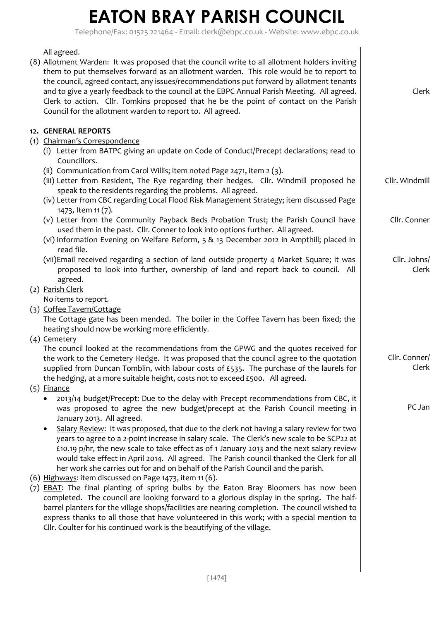Clerk

Cllr. Windmill

Cllr. Conner

Cllr. Johns/ Clerk

Cllr. Conner/

Clerk

PC Jan

Telephone/Fax: 01525 221464 - Email: clerk@ebpc.co.uk - Website: www.ebpc.co.uk

All agreed. (8) Allotment Warden: It was proposed that the council write to all allotment holders inviting them to put themselves forward as an allotment warden. This role would be to report to the council, agreed contact, any issues/recommendations put forward by allotment tenants and to give a yearly feedback to the council at the EBPC Annual Parish Meeting. All agreed.

### **12. GENERAL REPORTS**

- (1) Chairman's Correspondence
	- (i) Letter from BATPC giving an update on Code of Conduct/Precept declarations; read to Councillors.

Clerk to action. Cllr. Tomkins proposed that he be the point of contact on the Parish

(ii) Communication from Carol Willis; item noted Page 2471, item 2 (3).

Council for the allotment warden to report to. All agreed.

- (iii) Letter from Resident, The Rye regarding their hedges. Cllr. Windmill proposed he speak to the residents regarding the problems. All agreed.
- (iv) Letter from CBC regarding Local Flood Risk Management Strategy; item discussed Page 1473, Item 11 (7).
- (v) Letter from the Community Payback Beds Probation Trust; the Parish Council have used them in the past. Cllr. Conner to look into options further. All agreed.
- (vi) Information Evening on Welfare Reform, 5 & 13 December 2012 in Ampthill; placed in read file.
- (vii)Email received regarding a section of land outside property 4 Market Square; it was proposed to look into further, ownership of land and report back to council. All agreed.
- (2) Parish Clerk

No items to report.

(3) Coffee Tavern/Cottage

The Cottage gate has been mended. The boiler in the Coffee Tavern has been fixed; the heating should now be working more efficiently.

(4) Cemetery

The council looked at the recommendations from the GPWG and the quotes received for the work to the Cemetery Hedge. It was proposed that the council agree to the quotation supplied from Duncan Tomblin, with labour costs of £535. The purchase of the laurels for the hedging, at a more suitable height, costs not to exceed £500. All agreed.

- (5) Finance
	- 2013/14 budget/Precept: Due to the delay with Precept recommendations from CBC, it was proposed to agree the new budget/precept at the Parish Council meeting in January 2013. All agreed.
	- Salary Review: It was proposed, that due to the clerk not having a salary review for two years to agree to a 2-point increase in salary scale. The Clerk's new scale to be SCP22 at £10.19 p/hr, the new scale to take effect as of 1 January 2013 and the next salary review would take effect in April 2014. All agreed. The Parish council thanked the Clerk for all her work she carries out for and on behalf of the Parish Council and the parish.
- (6) Highways: item discussed on Page 1473, item 11 (6).
- (7) EBAT: The final planting of spring bulbs by the Eaton Bray Bloomers has now been completed. The council are looking forward to a glorious display in the spring. The halfbarrel planters for the village shops/facilities are nearing completion. The council wished to express thanks to all those that have volunteered in this work; with a special mention to Cllr. Coulter for his continued work is the beautifying of the village.